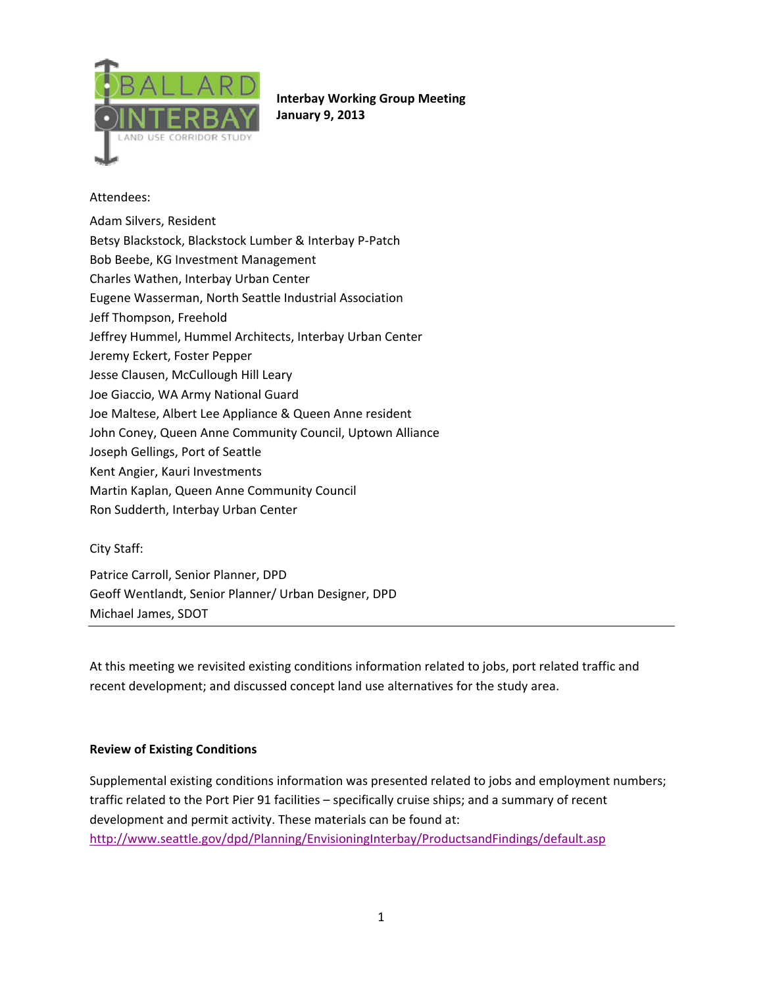

**Interbay Working Group Meeting January 9, 2013**

## Attendees:

Adam Silvers, Resident Betsy Blackstock, Blackstock Lumber & Interbay P‐Patch Bob Beebe, KG Investment Management

Charles Wathen, Interbay Urban Center

Eugene Wasserman, North Seattle Industrial Association

Jeff Thompson, Freehold

Jeffrey Hummel, Hummel Architects, Interbay Urban Center

Jeremy Eckert, Foster Pepper

Jesse Clausen, McCullough Hill Leary

Joe Giaccio, WA Army National Guard

Joe Maltese, Albert Lee Appliance & Queen Anne resident

John Coney, Queen Anne Community Council, Uptown Alliance

Joseph Gellings, Port of Seattle

Kent Angier, Kauri Investments

Martin Kaplan, Queen Anne Community Council

Ron Sudderth, Interbay Urban Center

#### City Staff:

Patrice Carroll, Senior Planner, DPD Geoff Wentlandt, Senior Planner/ Urban Designer, DPD Michael James, SDOT

At this meeting we revisited existing conditions information related to jobs, port related traffic and recent development; and discussed concept land use alternatives for the study area.

#### **Review of Existing Conditions**

Supplemental existing conditions information was presented related to jobs and employment numbers; traffic related to the Port Pier 91 facilities – specifically cruise ships; and a summary of recent development and permit activity. These materials can be found at: http://www.seattle.gov/dpd/Planning/EnvisioningInterbay/ProductsandFindings/default.asp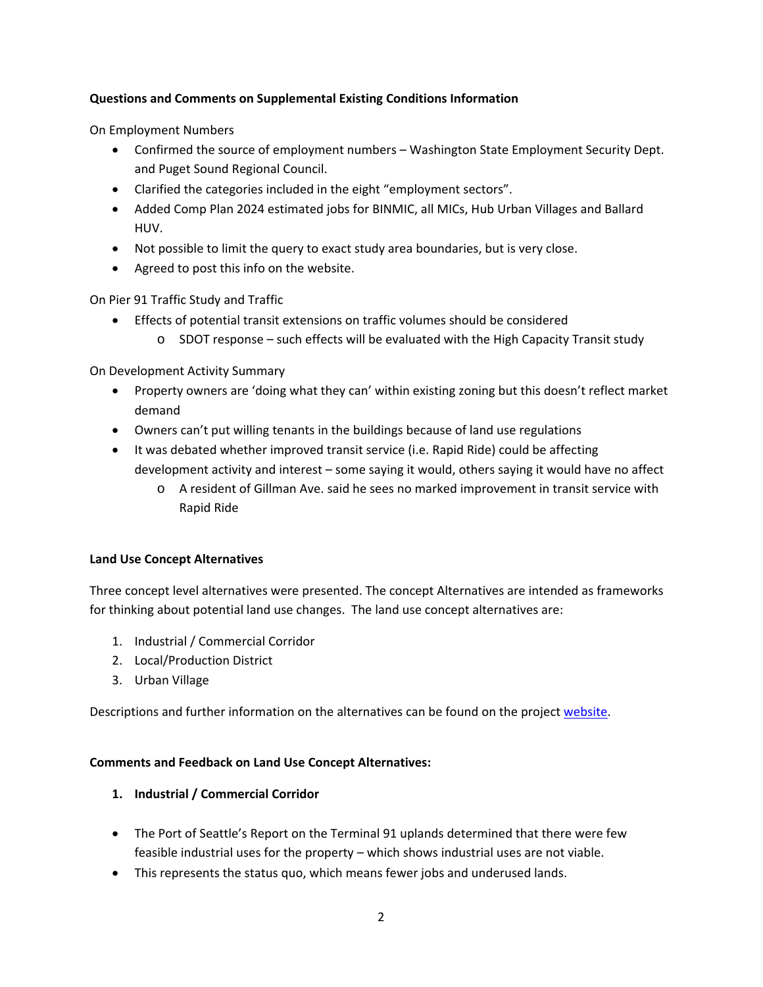### **Questions and Comments on Supplemental Existing Conditions Information**

On Employment Numbers

- Confirmed the source of employment numbers Washington State Employment Security Dept. and Puget Sound Regional Council.
- Clarified the categories included in the eight "employment sectors".
- Added Comp Plan 2024 estimated jobs for BINMIC, all MICs, Hub Urban Villages and Ballard HUV.
- Not possible to limit the query to exact study area boundaries, but is very close.
- Agreed to post this info on the website.

On Pier 91 Traffic Study and Traffic

- Effects of potential transit extensions on traffic volumes should be considered
	- o SDOT response such effects will be evaluated with the High Capacity Transit study

On Development Activity Summary

- Property owners are 'doing what they can' within existing zoning but this doesn't reflect market demand
- Owners can't put willing tenants in the buildings because of land use regulations
- It was debated whether improved transit service (i.e. Rapid Ride) could be affecting development activity and interest – some saying it would, others saying it would have no affect
	- o A resident of Gillman Ave. said he sees no marked improvement in transit service with Rapid Ride

#### **Land Use Concept Alternatives**

Three concept level alternatives were presented. The concept Alternatives are intended as frameworks for thinking about potential land use changes. The land use concept alternatives are:

- 1. Industrial / Commercial Corridor
- 2. Local/Production District
- 3. Urban Village

Descriptions and further information on the alternatives can be found on the project website.

#### **Comments and Feedback on Land Use Concept Alternatives:**

#### **1. Industrial / Commercial Corridor**

- The Port of Seattle's Report on the Terminal 91 uplands determined that there were few feasible industrial uses for the property – which shows industrial uses are not viable.
- This represents the status quo, which means fewer jobs and underused lands.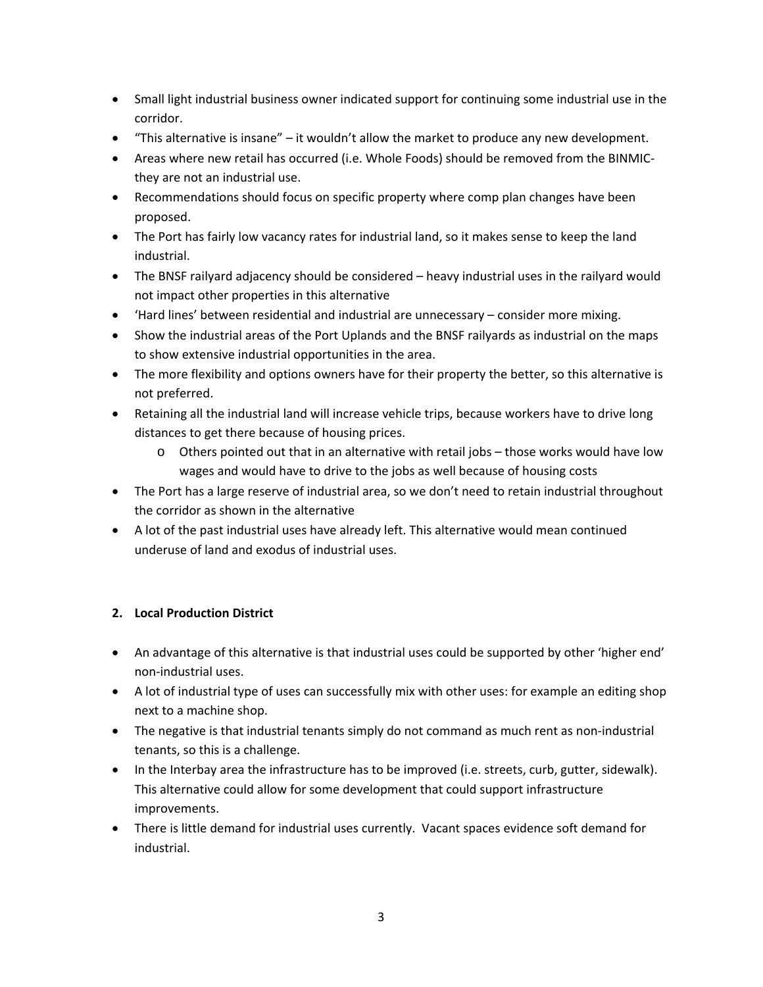- Small light industrial business owner indicated support for continuing some industrial use in the corridor.
- "This alternative is insane" it wouldn't allow the market to produce any new development.
- Areas where new retail has occurred (i.e. Whole Foods) should be removed from the BINMICthey are not an industrial use.
- Recommendations should focus on specific property where comp plan changes have been proposed.
- The Port has fairly low vacancy rates for industrial land, so it makes sense to keep the land industrial.
- The BNSF railyard adjacency should be considered heavy industrial uses in the railyard would not impact other properties in this alternative
- 'Hard lines' between residential and industrial are unnecessary consider more mixing.
- Show the industrial areas of the Port Uplands and the BNSF railyards as industrial on the maps to show extensive industrial opportunities in the area.
- The more flexibility and options owners have for their property the better, so this alternative is not preferred.
- Retaining all the industrial land will increase vehicle trips, because workers have to drive long distances to get there because of housing prices.
	- o Others pointed out that in an alternative with retail jobs those works would have low wages and would have to drive to the jobs as well because of housing costs
- The Port has a large reserve of industrial area, so we don't need to retain industrial throughout the corridor as shown in the alternative
- A lot of the past industrial uses have already left. This alternative would mean continued underuse of land and exodus of industrial uses.

# **2. Local Production District**

- An advantage of this alternative is that industrial uses could be supported by other 'higher end' non‐industrial uses.
- A lot of industrial type of uses can successfully mix with other uses: for example an editing shop next to a machine shop.
- The negative is that industrial tenants simply do not command as much rent as non-industrial tenants, so this is a challenge.
- In the Interbay area the infrastructure has to be improved (i.e. streets, curb, gutter, sidewalk). This alternative could allow for some development that could support infrastructure improvements.
- There is little demand for industrial uses currently. Vacant spaces evidence soft demand for industrial.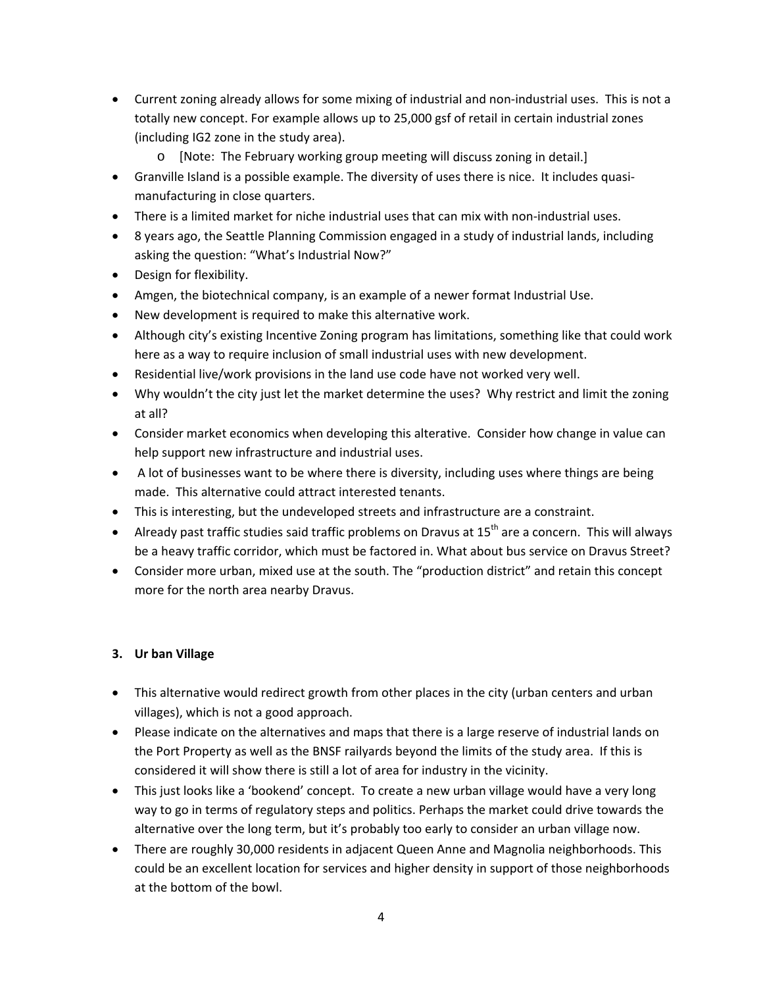- Current zoning already allows for some mixing of industrial and non-industrial uses. This is not a totally new concept. For example allows up to 25,000 gsf of retail in certain industrial zones (including IG2 zone in the study area).
	- o [Note: The February working group meeting will discuss zoning in detail.]
- Granville Island is a possible example. The diversity of uses there is nice. It includes quasimanufacturing in close quarters.
- There is a limited market for niche industrial uses that can mix with non‐industrial uses.
- 8 years ago, the Seattle Planning Commission engaged in a study of industrial lands, including asking the question: "What's Industrial Now?"
- Design for flexibility.
- Amgen, the biotechnical company, is an example of a newer format Industrial Use.
- New development is required to make this alternative work.
- Although city's existing Incentive Zoning program has limitations, something like that could work here as a way to require inclusion of small industrial uses with new development.
- Residential live/work provisions in the land use code have not worked very well.
- Why wouldn't the city just let the market determine the uses? Why restrict and limit the zoning at all?
- Consider market economics when developing this alterative. Consider how change in value can help support new infrastructure and industrial uses.
- A lot of businesses want to be where there is diversity, including uses where things are being made. This alternative could attract interested tenants.
- This is interesting, but the undeveloped streets and infrastructure are a constraint.
- Already past traffic studies said traffic problems on Dravus at  $15<sup>th</sup>$  are a concern. This will always be a heavy traffic corridor, which must be factored in. What about bus service on Dravus Street?
- Consider more urban, mixed use at the south. The "production district" and retain this concept more for the north area nearby Dravus.

## **3. Ur ban Village**

- This alternative would redirect growth from other places in the city (urban centers and urban villages), which is not a good approach.
- Please indicate on the alternatives and maps that there is a large reserve of industrial lands on the Port Property as well as the BNSF railyards beyond the limits of the study area. If this is considered it will show there is still a lot of area for industry in the vicinity.
- This just looks like a 'bookend' concept. To create a new urban village would have a very long way to go in terms of regulatory steps and politics. Perhaps the market could drive towards the alternative over the long term, but it's probably too early to consider an urban village now.
- There are roughly 30,000 residents in adjacent Queen Anne and Magnolia neighborhoods. This could be an excellent location for services and higher density in support of those neighborhoods at the bottom of the bowl.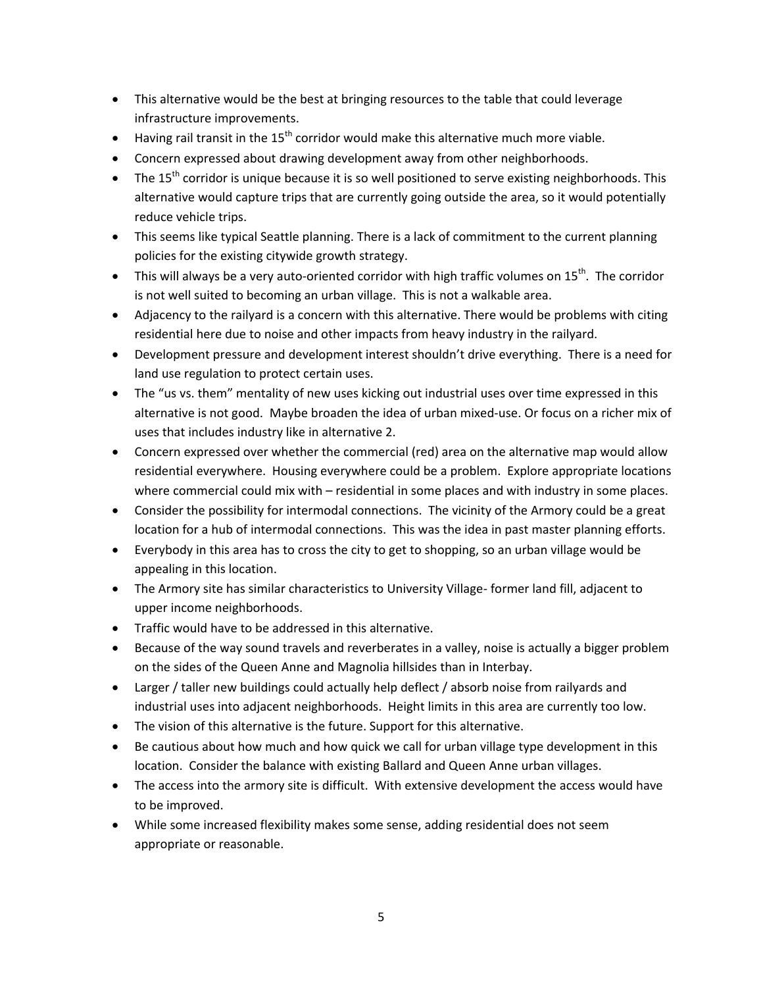- This alternative would be the best at bringing resources to the table that could leverage infrastructure improvements.
- Having rail transit in the 15<sup>th</sup> corridor would make this alternative much more viable.
- Concern expressed about drawing development away from other neighborhoods.
- The 15<sup>th</sup> corridor is unique because it is so well positioned to serve existing neighborhoods. This alternative would capture trips that are currently going outside the area, so it would potentially reduce vehicle trips.
- This seems like typical Seattle planning. There is a lack of commitment to the current planning policies for the existing citywide growth strategy.
- This will always be a very auto-oriented corridor with high traffic volumes on 15<sup>th</sup>. The corridor is not well suited to becoming an urban village. This is not a walkable area.
- Adjacency to the railyard is a concern with this alternative. There would be problems with citing residential here due to noise and other impacts from heavy industry in the railyard.
- Development pressure and development interest shouldn't drive everything. There is a need for land use regulation to protect certain uses.
- The "us vs. them" mentality of new uses kicking out industrial uses over time expressed in this alternative is not good. Maybe broaden the idea of urban mixed-use. Or focus on a richer mix of uses that includes industry like in alternative 2.
- Concern expressed over whether the commercial (red) area on the alternative map would allow residential everywhere. Housing everywhere could be a problem. Explore appropriate locations where commercial could mix with – residential in some places and with industry in some places.
- Consider the possibility for intermodal connections. The vicinity of the Armory could be a great location for a hub of intermodal connections. This was the idea in past master planning efforts.
- Everybody in this area has to cross the city to get to shopping, so an urban village would be appealing in this location.
- The Armory site has similar characteristics to University Village-former land fill, adjacent to upper income neighborhoods.
- Traffic would have to be addressed in this alternative.
- Because of the way sound travels and reverberates in a valley, noise is actually a bigger problem on the sides of the Queen Anne and Magnolia hillsides than in Interbay.
- Larger / taller new buildings could actually help deflect / absorb noise from railyards and industrial uses into adjacent neighborhoods. Height limits in this area are currently too low.
- The vision of this alternative is the future. Support for this alternative.
- Be cautious about how much and how quick we call for urban village type development in this location. Consider the balance with existing Ballard and Queen Anne urban villages.
- The access into the armory site is difficult. With extensive development the access would have to be improved.
- While some increased flexibility makes some sense, adding residential does not seem appropriate or reasonable.